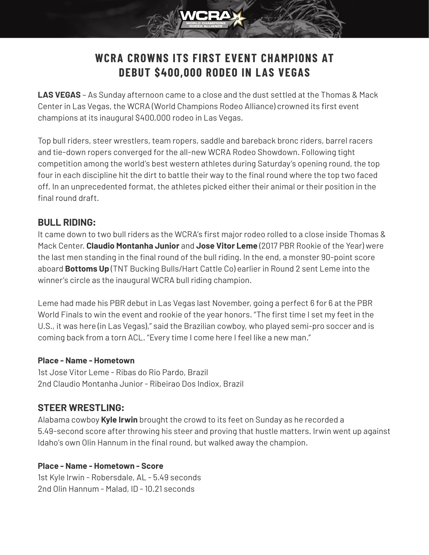# **WCRA CROWNS ITS FIRST EVENT CHAMPIONS AT DEBUT \$400,000 RODEO IN LAS VEGAS**

**LAS VEGAS** – As Sunday afternoon came to a close and the dust settled at the Thomas & Mack Center in Las Vegas, the WCRA (World Champions Rodeo Alliance) crowned its first event champions at its inaugural \$400,000 rodeo in Las Vegas.

Top bull riders, steer wrestlers, team ropers, saddle and bareback bronc riders, barrel racers and tie-down ropers converged for the all-new WCRA Rodeo Showdown. Following tight competition among the world's best western athletes during Saturday's opening round, the top four in each discipline hit the dirt to battle their way to the final round where the top two faced off. In an unprecedented format, the athletes picked either their animal or their position in the final round draft.

# **BULL RIDING:**

It came down to two bull riders as the WCRA's first major rodeo rolled to a close inside Thomas & Mack Center. **Claudio Montanha Junior** and **Jose Vitor Leme** (2017 PBR Rookie of the Year) were the last men standing in the final round of the bull riding. In the end, a monster 90-point score aboard **Bottoms Up** (TNT Bucking Bulls/Hart Cattle Co) earlier in Round 2 sent Leme into the winner's circle as the inaugural WCRA bull riding champion.

Leme had made his PBR debut in Las Vegas last November, going a perfect 6 for 6 at the PBR World Finals to win the event and rookie of the year honors. "The first time I set my feet in the U.S., it was here (in Las Vegas)," said the Brazilian cowboy, who played semi-pro soccer and is coming back from a torn ACL. "Every time I come here I feel like a new man."

#### **Place - Name - Hometown**

1st Jose Vitor Leme - Ribas do Rio Pardo, Brazil 2nd Claudio Montanha Junior - Ribeirao Dos Indiox, Brazil

# **STEER WRESTLING:**

Alabama cowboy **Kyle Irwin** brought the crowd to its feet on Sunday as he recorded a 5.49-second score after throwing his steer and proving that hustle matters. Irwin went up against Idaho's own Olin Hannum in the final round, but walked away the champion.

### **Place - Name - Hometown - Score**

1st Kyle Irwin - Robersdale, AL - 5.49 seconds 2nd Olin Hannum - Malad, ID - 10.21 seconds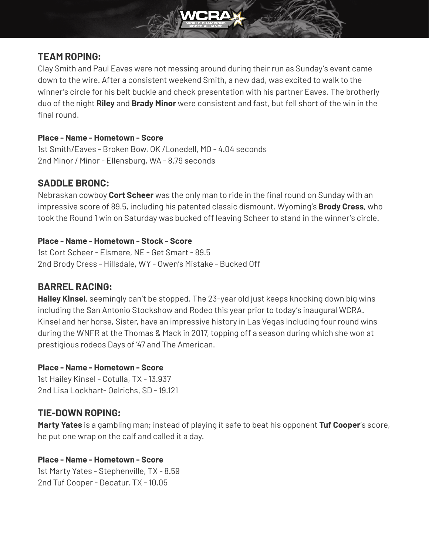

# **TEAM ROPING:**

Clay Smith and Paul Eaves were not messing around during their run as Sunday's event came down to the wire. After a consistent weekend Smith, a new dad, was excited to walk to the winner's circle for his belt buckle and check presentation with his partner Eaves. The brotherly duo of the night **Riley** and **Brady Minor** were consistent and fast, but fell short of the win in the final round.

#### **Place - Name - Hometown - Score**

1st Smith/Eaves - Broken Bow, OK /Lonedell, MO - 4.04 seconds 2nd Minor / Minor - Ellensburg, WA - 8.79 seconds

### **SADDLE BRONC:**

Nebraskan cowboy **Cort Scheer** was the only man to ride in the final round on Sunday with an impressive score of 89.5, including his patented classic dismount. Wyoming's **Brody Cress**, who took the Round 1 win on Saturday was bucked off leaving Scheer to stand in the winner's circle.

#### **Place - Name - Hometown - Stock - Score**

1st Cort Scheer - Elsmere, NE - Get Smart - 89.5 2nd Brody Cress - Hillsdale, WY - Owen's Mistake - Bucked Off

### **BARREL RACING:**

**Hailey Kinsel**, seemingly can't be stopped. The 23-year old just keeps knocking down big wins including the San Antonio Stockshow and Rodeo this year prior to today's inaugural WCRA. Kinsel and her horse, Sister, have an impressive history in Las Vegas including four round wins during the WNFR at the Thomas & Mack in 2017, topping off a season during which she won at prestigious rodeos Days of '47 and The American.

#### **Place - Name - Hometown - Score**

1st Hailey Kinsel - Cotulla, TX - 13.937 2nd Lisa Lockhart- Oelrichs, SD - 19.121

# **TIE-DOWN ROPING:**

**Marty Yates** is a gambling man; instead of playing it safe to beat his opponent **Tuf Cooper**'s score, he put one wrap on the calf and called it a day.

### **Place - Name - Hometown - Score**

1st Marty Yates - Stephenville, TX - 8.59 2nd Tuf Cooper - Decatur, TX - 10.05